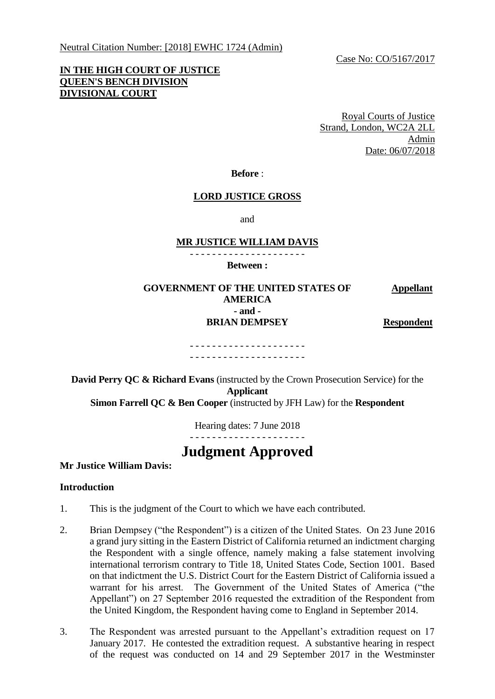Neutral Citation Number: [2018] EWHC 1724 (Admin)

Case No: CO/5167/2017

# **IN THE HIGH COURT OF JUSTICE QUEEN'S BENCH DIVISION DIVISIONAL COURT**

Royal Courts of Justice Strand, London, WC2A 2LL Admin Date: 06/07/2018

#### **Before** :

# **LORD JUSTICE GROSS**

and

## **MR JUSTICE WILLIAM DAVIS**

- - - - - - - - - - - - - - - - - - - - -

**Between :**

#### **GOVERNMENT OF THE UNITED STATES OF AMERICA Appellant - and - BRIAN DEMPSEY Respondent**

#### - - - - - - - - - - - - - - - - - - - - - - - - - - - - - - - - - - - - - - - - - -

**David Perry QC & Richard Evans** (instructed by the Crown Prosecution Service) for the **Applicant Simon Farrell QC & Ben Cooper** (instructed by JFH Law) for the **Respondent**

Hearing dates: 7 June 2018

- - - - - - - - - - - - - - - - - - - - -

# **Judgment Approved**

**Mr Justice William Davis:**

#### **Introduction**

- 1. This is the judgment of the Court to which we have each contributed.
- 2. Brian Dempsey ("the Respondent") is a citizen of the United States. On 23 June 2016 a grand jury sitting in the Eastern District of California returned an indictment charging the Respondent with a single offence, namely making a false statement involving international terrorism contrary to Title 18, United States Code, Section 1001. Based on that indictment the U.S. District Court for the Eastern District of California issued a warrant for his arrest. The Government of the United States of America ("the Appellant") on 27 September 2016 requested the extradition of the Respondent from the United Kingdom, the Respondent having come to England in September 2014.
- 3. The Respondent was arrested pursuant to the Appellant's extradition request on 17 January 2017. He contested the extradition request. A substantive hearing in respect of the request was conducted on 14 and 29 September 2017 in the Westminster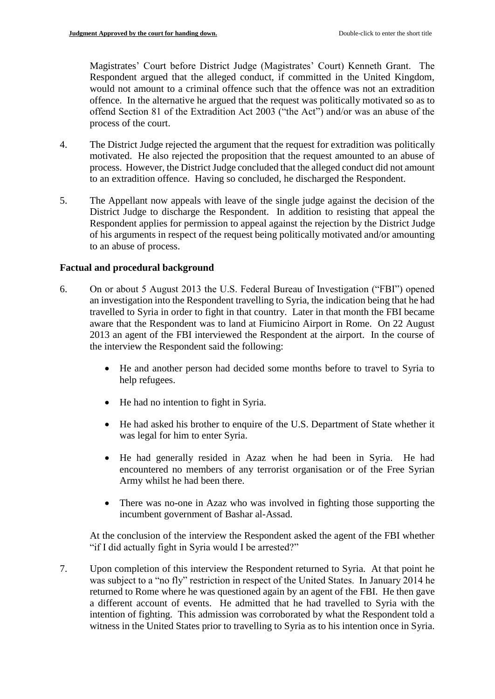Magistrates' Court before District Judge (Magistrates' Court) Kenneth Grant. The Respondent argued that the alleged conduct, if committed in the United Kingdom, would not amount to a criminal offence such that the offence was not an extradition offence. In the alternative he argued that the request was politically motivated so as to offend Section 81 of the Extradition Act 2003 ("the Act") and/or was an abuse of the process of the court.

- 4. The District Judge rejected the argument that the request for extradition was politically motivated. He also rejected the proposition that the request amounted to an abuse of process. However, the District Judge concluded that the alleged conduct did not amount to an extradition offence. Having so concluded, he discharged the Respondent.
- 5. The Appellant now appeals with leave of the single judge against the decision of the District Judge to discharge the Respondent. In addition to resisting that appeal the Respondent applies for permission to appeal against the rejection by the District Judge of his arguments in respect of the request being politically motivated and/or amounting to an abuse of process.

## **Factual and procedural background**

- 6. On or about 5 August 2013 the U.S. Federal Bureau of Investigation ("FBI") opened an investigation into the Respondent travelling to Syria, the indication being that he had travelled to Syria in order to fight in that country. Later in that month the FBI became aware that the Respondent was to land at Fiumicino Airport in Rome. On 22 August 2013 an agent of the FBI interviewed the Respondent at the airport. In the course of the interview the Respondent said the following:
	- He and another person had decided some months before to travel to Syria to help refugees.
	- He had no intention to fight in Syria.
	- He had asked his brother to enquire of the U.S. Department of State whether it was legal for him to enter Syria.
	- He had generally resided in Azaz when he had been in Syria. He had encountered no members of any terrorist organisation or of the Free Syrian Army whilst he had been there.
	- There was no-one in Azaz who was involved in fighting those supporting the incumbent government of Bashar al-Assad.

At the conclusion of the interview the Respondent asked the agent of the FBI whether "if I did actually fight in Syria would I be arrested?"

7. Upon completion of this interview the Respondent returned to Syria. At that point he was subject to a "no fly" restriction in respect of the United States. In January 2014 he returned to Rome where he was questioned again by an agent of the FBI. He then gave a different account of events. He admitted that he had travelled to Syria with the intention of fighting. This admission was corroborated by what the Respondent told a witness in the United States prior to travelling to Syria as to his intention once in Syria.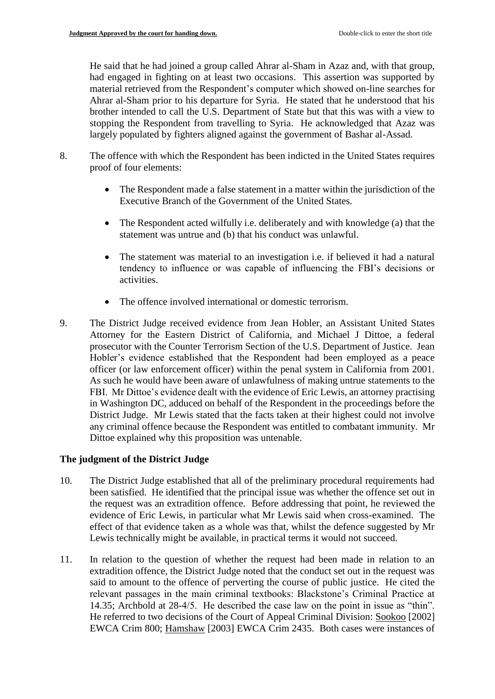He said that he had joined a group called Ahrar al-Sham in Azaz and, with that group, had engaged in fighting on at least two occasions. This assertion was supported by material retrieved from the Respondent's computer which showed on-line searches for Ahrar al-Sham prior to his departure for Syria. He stated that he understood that his brother intended to call the U.S. Department of State but that this was with a view to stopping the Respondent from travelling to Syria. He acknowledged that Azaz was largely populated by fighters aligned against the government of Bashar al-Assad.

- 8. The offence with which the Respondent has been indicted in the United States requires proof of four elements:
	- The Respondent made a false statement in a matter within the jurisdiction of the Executive Branch of the Government of the United States.
	- The Respondent acted wilfully i.e. deliberately and with knowledge (a) that the statement was untrue and (b) that his conduct was unlawful.
	- The statement was material to an investigation i.e. if believed it had a natural tendency to influence or was capable of influencing the FBI's decisions or activities.
	- The offence involved international or domestic terrorism.
- 9. The District Judge received evidence from Jean Hobler, an Assistant United States Attorney for the Eastern District of California, and Michael J Dittoe, a federal prosecutor with the Counter Terrorism Section of the U.S. Department of Justice. Jean Hobler's evidence established that the Respondent had been employed as a peace officer (or law enforcement officer) within the penal system in California from 2001. As such he would have been aware of unlawfulness of making untrue statements to the FBI. Mr Dittoe's evidence dealt with the evidence of Eric Lewis, an attorney practising in Washington DC, adduced on behalf of the Respondent in the proceedings before the District Judge. Mr Lewis stated that the facts taken at their highest could not involve any criminal offence because the Respondent was entitled to combatant immunity. Mr Dittoe explained why this proposition was untenable.

# **The judgment of the District Judge**

- 10. The District Judge established that all of the preliminary procedural requirements had been satisfied. He identified that the principal issue was whether the offence set out in the request was an extradition offence. Before addressing that point, he reviewed the evidence of Eric Lewis, in particular what Mr Lewis said when cross-examined. The effect of that evidence taken as a whole was that, whilst the defence suggested by Mr Lewis technically might be available, in practical terms it would not succeed.
- 11. In relation to the question of whether the request had been made in relation to an extradition offence, the District Judge noted that the conduct set out in the request was said to amount to the offence of perverting the course of public justice. He cited the relevant passages in the main criminal textbooks: Blackstone's Criminal Practice at 14.35; Archbold at 28-4/5. He described the case law on the point in issue as "thin". He referred to two decisions of the Court of Appeal Criminal Division: Sookoo [2002] EWCA Crim 800; Hamshaw [2003] EWCA Crim 2435. Both cases were instances of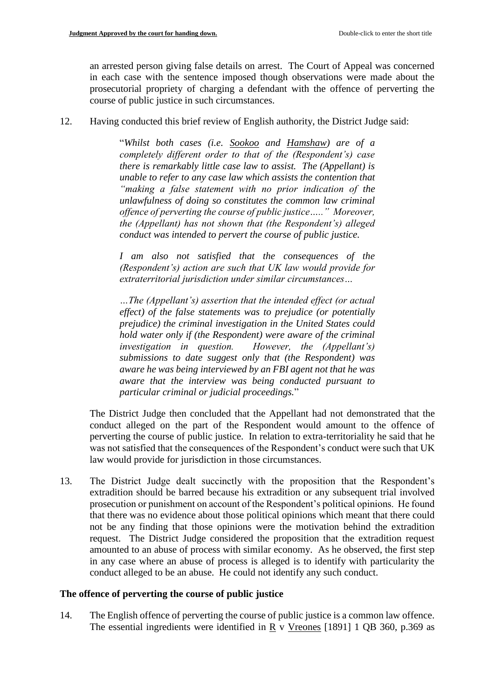an arrested person giving false details on arrest. The Court of Appeal was concerned in each case with the sentence imposed though observations were made about the prosecutorial propriety of charging a defendant with the offence of perverting the course of public justice in such circumstances.

12. Having conducted this brief review of English authority, the District Judge said:

"*Whilst both cases (i.e. Sookoo and Hamshaw) are of a completely different order to that of the (Respondent's) case there is remarkably little case law to assist. The (Appellant) is unable to refer to any case law which assists the contention that "making a false statement with no prior indication of the unlawfulness of doing so constitutes the common law criminal offence of perverting the course of public justice….." Moreover, the (Appellant) has not shown that (the Respondent's) alleged conduct was intended to pervert the course of public justice.*

*I am also not satisfied that the consequences of the (Respondent's) action are such that UK law would provide for extraterritorial jurisdiction under similar circumstances…*

*…The (Appellant's) assertion that the intended effect (or actual effect) of the false statements was to prejudice (or potentially prejudice) the criminal investigation in the United States could hold water only if (the Respondent) were aware of the criminal investigation in question. However, the (Appellant's) submissions to date suggest only that (the Respondent) was aware he was being interviewed by an FBI agent not that he was aware that the interview was being conducted pursuant to particular criminal or judicial proceedings.*"

The District Judge then concluded that the Appellant had not demonstrated that the conduct alleged on the part of the Respondent would amount to the offence of perverting the course of public justice. In relation to extra-territoriality he said that he was not satisfied that the consequences of the Respondent's conduct were such that UK law would provide for jurisdiction in those circumstances.

13. The District Judge dealt succinctly with the proposition that the Respondent's extradition should be barred because his extradition or any subsequent trial involved prosecution or punishment on account of the Respondent's political opinions. He found that there was no evidence about those political opinions which meant that there could not be any finding that those opinions were the motivation behind the extradition request. The District Judge considered the proposition that the extradition request amounted to an abuse of process with similar economy. As he observed, the first step in any case where an abuse of process is alleged is to identify with particularity the conduct alleged to be an abuse. He could not identify any such conduct.

# **The offence of perverting the course of public justice**

14. The English offence of perverting the course of public justice is a common law offence. The essential ingredients were identified in  $\underline{R}$  v Vreones [1891] 1 QB 360, p.369 as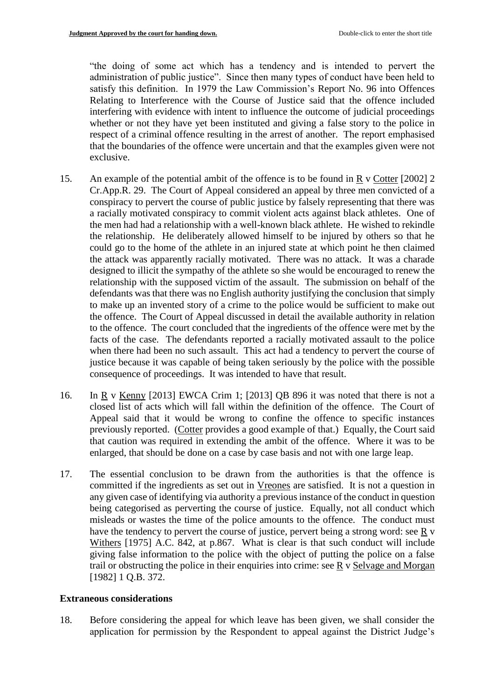"the doing of some act which has a tendency and is intended to pervert the administration of public justice". Since then many types of conduct have been held to satisfy this definition. In 1979 the Law Commission's Report No. 96 into Offences Relating to Interference with the Course of Justice said that the offence included interfering with evidence with intent to influence the outcome of judicial proceedings whether or not they have yet been instituted and giving a false story to the police in respect of a criminal offence resulting in the arrest of another. The report emphasised that the boundaries of the offence were uncertain and that the examples given were not exclusive.

- 15. An example of the potential ambit of the offence is to be found in R v Cotter [2002] 2 Cr.App.R. 29. The Court of Appeal considered an appeal by three men convicted of a conspiracy to pervert the course of public justice by falsely representing that there was a racially motivated conspiracy to commit violent acts against black athletes. One of the men had had a relationship with a well-known black athlete. He wished to rekindle the relationship. He deliberately allowed himself to be injured by others so that he could go to the home of the athlete in an injured state at which point he then claimed the attack was apparently racially motivated. There was no attack. It was a charade designed to illicit the sympathy of the athlete so she would be encouraged to renew the relationship with the supposed victim of the assault. The submission on behalf of the defendants was that there was no English authority justifying the conclusion that simply to make up an invented story of a crime to the police would be sufficient to make out the offence. The Court of Appeal discussed in detail the available authority in relation to the offence. The court concluded that the ingredients of the offence were met by the facts of the case. The defendants reported a racially motivated assault to the police when there had been no such assault. This act had a tendency to pervert the course of justice because it was capable of being taken seriously by the police with the possible consequence of proceedings. It was intended to have that result.
- 16. In R v Kenny [2013] EWCA Crim 1; [2013] QB 896 it was noted that there is not a closed list of acts which will fall within the definition of the offence. The Court of Appeal said that it would be wrong to confine the offence to specific instances previously reported. (Cotter provides a good example of that.) Equally, the Court said that caution was required in extending the ambit of the offence. Where it was to be enlarged, that should be done on a case by case basis and not with one large leap.
- 17. The essential conclusion to be drawn from the authorities is that the offence is committed if the ingredients as set out in Vreones are satisfied. It is not a question in any given case of identifying via authority a previous instance of the conduct in question being categorised as perverting the course of justice. Equally, not all conduct which misleads or wastes the time of the police amounts to the offence. The conduct must have the tendency to pervert the course of justice, pervert being a strong word: see R v Withers [1975] A.C. 842, at p.867. What is clear is that such conduct will include giving false information to the police with the object of putting the police on a false trail or obstructing the police in their enquiries into crime: see R v Selvage and Morgan [1982] 1 O.B. 372.

# **Extraneous considerations**

18. Before considering the appeal for which leave has been given, we shall consider the application for permission by the Respondent to appeal against the District Judge's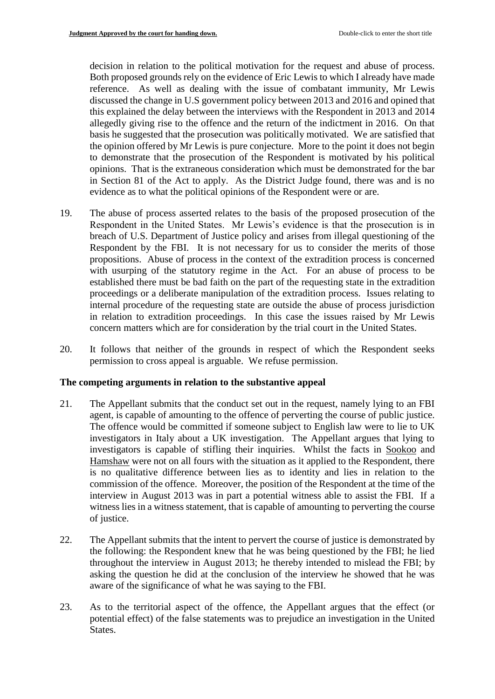decision in relation to the political motivation for the request and abuse of process. Both proposed grounds rely on the evidence of Eric Lewis to which I already have made reference. As well as dealing with the issue of combatant immunity, Mr Lewis discussed the change in U.S government policy between 2013 and 2016 and opined that this explained the delay between the interviews with the Respondent in 2013 and 2014 allegedly giving rise to the offence and the return of the indictment in 2016. On that basis he suggested that the prosecution was politically motivated. We are satisfied that the opinion offered by Mr Lewis is pure conjecture. More to the point it does not begin to demonstrate that the prosecution of the Respondent is motivated by his political opinions. That is the extraneous consideration which must be demonstrated for the bar in Section 81 of the Act to apply. As the District Judge found, there was and is no evidence as to what the political opinions of the Respondent were or are.

- 19. The abuse of process asserted relates to the basis of the proposed prosecution of the Respondent in the United States. Mr Lewis's evidence is that the prosecution is in breach of U.S. Department of Justice policy and arises from illegal questioning of the Respondent by the FBI. It is not necessary for us to consider the merits of those propositions. Abuse of process in the context of the extradition process is concerned with usurping of the statutory regime in the Act. For an abuse of process to be established there must be bad faith on the part of the requesting state in the extradition proceedings or a deliberate manipulation of the extradition process. Issues relating to internal procedure of the requesting state are outside the abuse of process jurisdiction in relation to extradition proceedings. In this case the issues raised by Mr Lewis concern matters which are for consideration by the trial court in the United States.
- 20. It follows that neither of the grounds in respect of which the Respondent seeks permission to cross appeal is arguable. We refuse permission.

#### **The competing arguments in relation to the substantive appeal**

- 21. The Appellant submits that the conduct set out in the request, namely lying to an FBI agent, is capable of amounting to the offence of perverting the course of public justice. The offence would be committed if someone subject to English law were to lie to UK investigators in Italy about a UK investigation. The Appellant argues that lying to investigators is capable of stifling their inquiries. Whilst the facts in Sookoo and Hamshaw were not on all fours with the situation as it applied to the Respondent, there is no qualitative difference between lies as to identity and lies in relation to the commission of the offence. Moreover, the position of the Respondent at the time of the interview in August 2013 was in part a potential witness able to assist the FBI. If a witness lies in a witness statement, that is capable of amounting to perverting the course of justice.
- 22. The Appellant submits that the intent to pervert the course of justice is demonstrated by the following: the Respondent knew that he was being questioned by the FBI; he lied throughout the interview in August 2013; he thereby intended to mislead the FBI; by asking the question he did at the conclusion of the interview he showed that he was aware of the significance of what he was saying to the FBI.
- 23. As to the territorial aspect of the offence, the Appellant argues that the effect (or potential effect) of the false statements was to prejudice an investigation in the United States.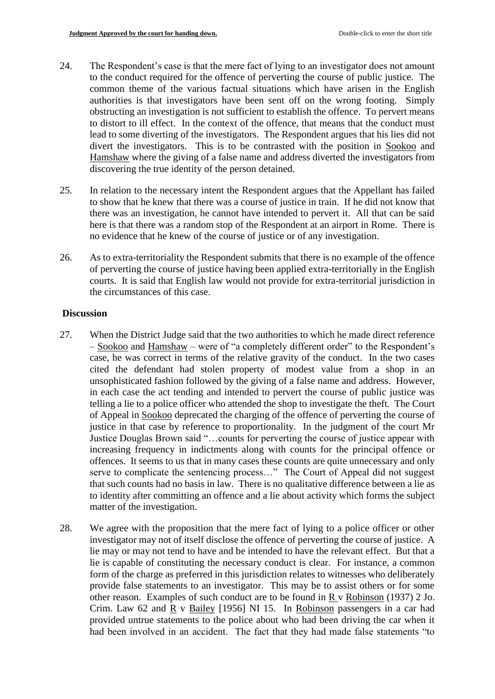- 24. The Respondent's case is that the mere fact of lying to an investigator does not amount to the conduct required for the offence of perverting the course of public justice. The common theme of the various factual situations which have arisen in the English authorities is that investigators have been sent off on the wrong footing. Simply obstructing an investigation is not sufficient to establish the offence. To pervert means to distort to ill effect. In the context of the offence, that means that the conduct must lead to some diverting of the investigators. The Respondent argues that his lies did not divert the investigators. This is to be contrasted with the position in Sookoo and Hamshaw where the giving of a false name and address diverted the investigators from discovering the true identity of the person detained.
- 25. In relation to the necessary intent the Respondent argues that the Appellant has failed to show that he knew that there was a course of justice in train. If he did not know that there was an investigation, he cannot have intended to pervert it. All that can be said here is that there was a random stop of the Respondent at an airport in Rome. There is no evidence that he knew of the course of justice or of any investigation.
- 26. As to extra-territoriality the Respondent submits that there is no example of the offence of perverting the course of justice having been applied extra-territorially in the English courts. It is said that English law would not provide for extra-territorial jurisdiction in the circumstances of this case.

#### **Discussion**

- 27. When the District Judge said that the two authorities to which he made direct reference – Sookoo and Hamshaw – were of "a completely different order" to the Respondent's case, he was correct in terms of the relative gravity of the conduct. In the two cases cited the defendant had stolen property of modest value from a shop in an unsophisticated fashion followed by the giving of a false name and address. However, in each case the act tending and intended to pervert the course of public justice was telling a lie to a police officer who attended the shop to investigate the theft. The Court of Appeal in Sookoo deprecated the charging of the offence of perverting the course of justice in that case by reference to proportionality. In the judgment of the court Mr Justice Douglas Brown said "…counts for perverting the course of justice appear with increasing frequency in indictments along with counts for the principal offence or offences. It seems to us that in many cases these counts are quite unnecessary and only serve to complicate the sentencing process..." The Court of Appeal did not suggest that such counts had no basis in law. There is no qualitative difference between a lie as to identity after committing an offence and a lie about activity which forms the subject matter of the investigation.
- 28. We agree with the proposition that the mere fact of lying to a police officer or other investigator may not of itself disclose the offence of perverting the course of justice. A lie may or may not tend to have and be intended to have the relevant effect. But that a lie is capable of constituting the necessary conduct is clear. For instance, a common form of the charge as preferred in this jurisdiction relates to witnesses who deliberately provide false statements to an investigator. This may be to assist others or for some other reason. Examples of such conduct are to be found in R v Robinson (1937) 2 Jo. Crim. Law 62 and  $\overline{R}$  v Bailey [1956] NI 15. In Robinson passengers in a car had provided untrue statements to the police about who had been driving the car when it had been involved in an accident. The fact that they had made false statements "to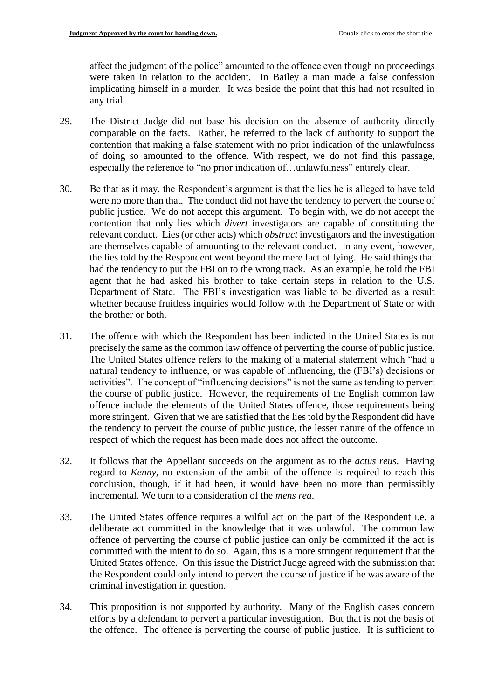affect the judgment of the police" amounted to the offence even though no proceedings were taken in relation to the accident. In Bailey a man made a false confession implicating himself in a murder. It was beside the point that this had not resulted in any trial.

- 29. The District Judge did not base his decision on the absence of authority directly comparable on the facts. Rather, he referred to the lack of authority to support the contention that making a false statement with no prior indication of the unlawfulness of doing so amounted to the offence. With respect, we do not find this passage, especially the reference to "no prior indication of…unlawfulness" entirely clear.
- 30. Be that as it may, the Respondent's argument is that the lies he is alleged to have told were no more than that. The conduct did not have the tendency to pervert the course of public justice. We do not accept this argument. To begin with, we do not accept the contention that only lies which *divert* investigators are capable of constituting the relevant conduct. Lies (or other acts) which *obstruct* investigators and the investigation are themselves capable of amounting to the relevant conduct. In any event, however, the lies told by the Respondent went beyond the mere fact of lying. He said things that had the tendency to put the FBI on to the wrong track. As an example, he told the FBI agent that he had asked his brother to take certain steps in relation to the U.S. Department of State. The FBI's investigation was liable to be diverted as a result whether because fruitless inquiries would follow with the Department of State or with the brother or both.
- 31. The offence with which the Respondent has been indicted in the United States is not precisely the same as the common law offence of perverting the course of public justice. The United States offence refers to the making of a material statement which "had a natural tendency to influence, or was capable of influencing, the (FBI's) decisions or activities". The concept of "influencing decisions" is not the same as tending to pervert the course of public justice. However, the requirements of the English common law offence include the elements of the United States offence, those requirements being more stringent. Given that we are satisfied that the lies told by the Respondent did have the tendency to pervert the course of public justice, the lesser nature of the offence in respect of which the request has been made does not affect the outcome.
- 32. It follows that the Appellant succeeds on the argument as to the *actus reus*. Having regard to *Kenny*, no extension of the ambit of the offence is required to reach this conclusion, though, if it had been, it would have been no more than permissibly incremental. We turn to a consideration of the *mens rea*.
- 33. The United States offence requires a wilful act on the part of the Respondent i.e. a deliberate act committed in the knowledge that it was unlawful. The common law offence of perverting the course of public justice can only be committed if the act is committed with the intent to do so. Again, this is a more stringent requirement that the United States offence. On this issue the District Judge agreed with the submission that the Respondent could only intend to pervert the course of justice if he was aware of the criminal investigation in question.
- 34. This proposition is not supported by authority. Many of the English cases concern efforts by a defendant to pervert a particular investigation. But that is not the basis of the offence. The offence is perverting the course of public justice. It is sufficient to